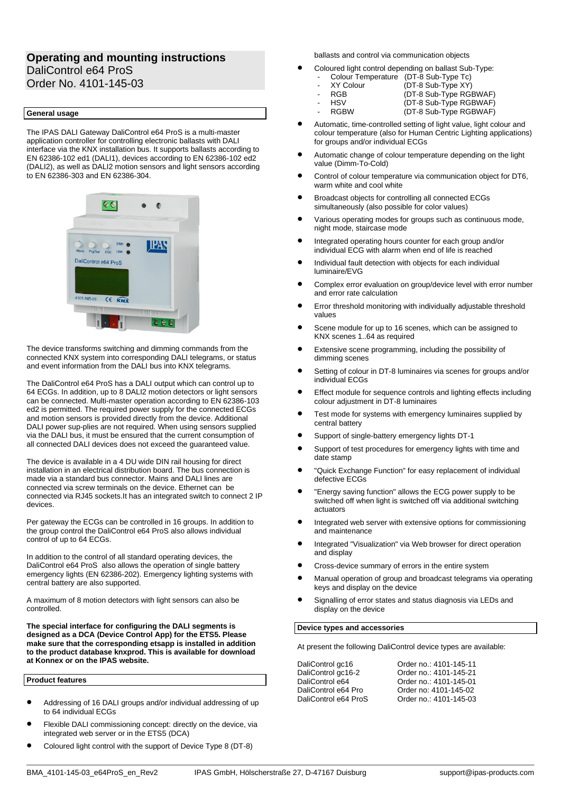# **Operating and mounting instructions** DaliControl e64 ProS Order No. 4101-145-03

## **General usage**

The IPAS DALI Gateway DaliControl e64 ProS is a multi-master application controller for controlling electronic ballasts with DALI interface via the KNX installation bus. It supports ballasts according to EN 62386-102 ed1 (DALI1), devices according to EN 62386-102 ed2 (DALI2), as well as DALI2 motion sensors and light sensors according to EN 62386-303 and EN 62386-304.



The device transforms switching and dimming commands from the connected KNX system into corresponding DALI telegrams, or status and event information from the DALI bus into KNX telegrams.

The DaliControl e64 ProS has a DALI output which can control up to 64 ECGs. In addition, up to 8 DALI2 motion detectors or light sensors can be connected. Multi-master operation according to EN 62386-103 ed2 is permitted. The required power supply for the connected ECGs and motion sensors is provided directly from the device. Additional DALI power sup-plies are not required. When using sensors supplied via the DALI bus, it must be ensured that the current consumption of all connected DALI devices does not exceed the guaranteed value.

The device is available in a 4 DU wide DIN rail housing for direct installation in an electrical distribution board. The bus connection is made via a standard bus connector. Mains and DALI lines are connected via screw terminals on the device. Ethernet can be connected via RJ45 sockets.It has an integrated switch to connect 2 IP devices.

Per gateway the ECGs can be controlled in 16 groups. In addition to the group control the DaliControl e64 ProS also allows individual control of up to 64 ECGs.

In addition to the control of all standard operating devices, the DaliControl e64 ProS also allows the operation of single battery emergency lights (EN 62386-202). Emergency lighting systems with central battery are also supported.

A maximum of 8 motion detectors with light sensors can also be controlled.

**The special interface for configuring the DALI segments is designed as a DCA (Device Control App) for the ETS5. Please make sure that the corresponding etsapp is installed in addition to the product database knxprod. This is available for download at Konnex or on the IPAS website.**

**Product features**

- Addressing of 16 DALI groups and/or individual addressing of up to 64 individual ECGs
- Flexible DALI commissioning concept: directly on the device, via integrated web server or in the ETS5 (DCA)
- Coloured light control with the support of Device Type 8 (DT-8)

ballasts and control via communication objects

- Coloured light control depending on ballast Sub-Type:
	- Colour Temperature (DT-8 Sub-Type Tc)<br>XY Colour (DT-8 Sub-Type XY)
	- XY Colour (DT-8 Sub-Type XY)<br>RGB (DT-8 Sub-Type RG
		- RGB (DT-8 Sub-Type RGBWAF)<br>HSV (DT-8 Sub-Type RGBWAF)
	-
- HSV (DT-8 Sub-Type RGBWAF) (DT-8 Sub-Type RGBWAF)
- Automatic, time-controlled setting of light value, light colour and colour temperature (also for Human Centric Lighting applications) for groups and/or individual ECGs
- Automatic change of colour temperature depending on the light value (Dimm-To-Cold)
- Control of colour temperature via communication object for DT6, warm white and cool white
- Broadcast objects for controlling all connected ECGs simultaneously (also possible for color values)
- Various operating modes for groups such as continuous mode, night mode, staircase mode
- Integrated operating hours counter for each group and/or individual ECG with alarm when end of life is reached
- Individual fault detection with objects for each individual luminaire/EVG
- Complex error evaluation on group/device level with error number and error rate calculation
- Error threshold monitoring with individually adjustable threshold values
- Scene module for up to 16 scenes, which can be assigned to KNX scenes 1..64 as required
- Extensive scene programming, including the possibility of dimming scenes
- Setting of colour in DT-8 luminaires via scenes for groups and/or individual ECGs
- Effect module for sequence controls and lighting effects including colour adjustment in DT-8 luminaires
- Test mode for systems with emergency luminaires supplied by central battery
- Support of single-battery emergency lights DT-1
- Support of test procedures for emergency lights with time and date stamp
- "Quick Exchange Function" for easy replacement of individual defective ECGs
- "Energy saving function" allows the ECG power supply to be switched off when light is switched off via additional switching actuators
- Integrated web server with extensive options for commissioning and maintenance
- Integrated "Visualization" via Web browser for direct operation and display
- Cross-device summary of errors in the entire system
- Manual operation of group and broadcast telegrams via operating keys and display on the device
- Signalling of error states and status diagnosis via LEDs and display on the device

## **Device types and accessories**

At present the following DaliControl device types are available:

DaliControl gc16 Qrder no.: 4101-145-11

DaliControl gc16-2 Order no.: 4101-145-21 DaliControl e64 **Order no.: 4101-145-01**<br>DaliControl e64 Pro Order no: 4101-145-02 DaliControl e64 Pro Order no: 4101-145-02 Order no.: 4101-145-03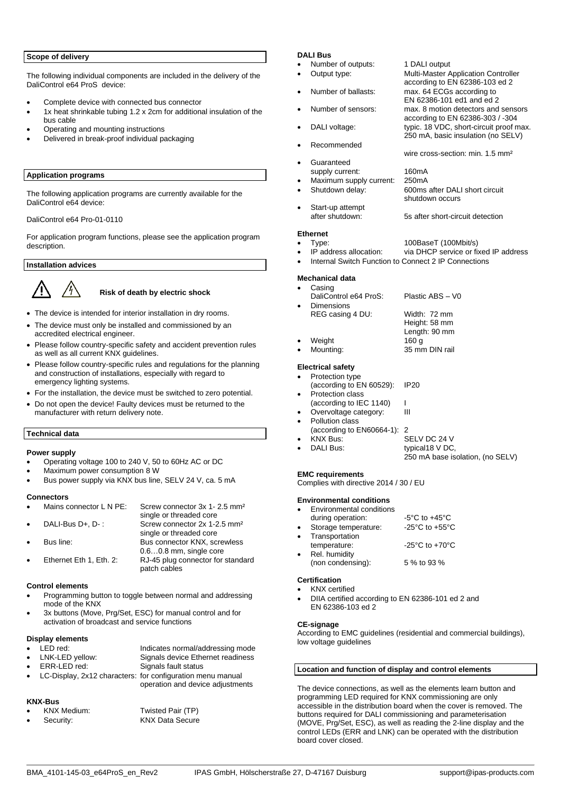## **Scope of delivery**

The following individual components are included in the delivery of the DaliControl e64 ProS device:

- Complete device with connected bus connector
- 1x heat shrinkable tubing 1.2 x 2cm for additional insulation of the bus cable
- Operating and mounting instructions
- Delivered in break-proof individual packaging

# **Application programs**

The following application programs are currently available for the DaliControl e64 device:

DaliControl e64 Pro-01-0110

For application program functions, please see the application program description.

# **Installation advices**

# **Risk of death by electric shock**

- The device is intended for interior installation in dry rooms.
- The device must only be installed and commissioned by an accredited electrical engineer.
- Please follow country-specific safety and accident prevention rules as well as all current KNX guidelines.
- Please follow country-specific rules and regulations for the planning and construction of installations, especially with regard to emergency lighting systems.
- For the installation, the device must be switched to zero potential.
- Do not open the device! Faulty devices must be returned to the manufacturer with return delivery note.

# **Technical data**

## **Power supply**

- Operating voltage 100 to 240 V, 50 to 60Hz AC or DC
- Maximum power consumption 8 W
- Bus power supply via KNX bus line, SELV 24 V, ca. 5 mA

#### **Connectors**

| $\bullet$ | Mains connector L N PE: | Screw connector 3x 1-2.5 mm <sup>2</sup> |
|-----------|-------------------------|------------------------------------------|
|           |                         | single or threaded core                  |
| $\bullet$ | DALI-Bus D+, D-:        | Screw connector 2x 1-2.5 mm <sup>2</sup> |
|           |                         | single or threaded core                  |
|           | Bus line:               | Bus connector KNX, screwless             |
|           |                         | $0.60.8$ mm, single core                 |
|           | Ethernet Eth 1, Eth. 2: | RJ-45 plug connector for standard        |
|           |                         | patch cables                             |

## **Control elements**

- Programming button to toggle between normal and addressing mode of the KNX
- 3x buttons (Move, Prg/Set, ESC) for manual control and for activation of broadcast and service functions

# **Display elements**

| $\bullet$ LED red:     | Indicates normal/addressing mode                             |
|------------------------|--------------------------------------------------------------|
| • LNK-LED yellow:      | Signals device Ethernet readiness                            |
| $\bullet$ ERR-LED red: | Signals fault status                                         |
|                        | • LC-Display, 2x12 characters: for configuration menu manual |

## • LC-Display, 2x12 characters: for configuration menu manual operation and device adjustments

# **KNX-Bus**

| $\bullet$ | KNX Medium: | Twisted Pair (TP) |
|-----------|-------------|-------------------|
|           | Security:   | KNX Data Secure   |

# **DALI Bus**

- Number of outputs: 1 DALI output<br>Output type: 1 Multi-Master A
- 
- Number of ballasts: max. 64 ECGs according to
- Number of sensors: max. 8 motion detectors and sensors
- DALI voltage: typic. 18 VDC, short-circuit proof max.
- Recommended
- Guaranteed
- supply current: 160mA<br>Maximum supply current: 250mA Maximum supply current:<br>Shutdown delay:
- - Start-up attempt<br>after shutdown: 5s after short-circuit detection

# **Ethernet**

- 
- Type: 100BaseT (100Mbit/s)<br>IP address allocation: via DHCP service or fit via DHCP service or fixed IP address

shutdown occurs

**Multi-Master Application Controller** according to EN 62386-103 ed 2

according to EN 62386-303 / -304

250 mA, basic insulation (no SELV)

wire cross-section: min. 1.5 mm²

600ms after DALI short circuit

250 mA base isolation, (no SELV)

EN 62386-101 ed1 and ed 2

Internal Switch Function to Connect 2 IP Connections

## **Mechanical data**

- Casing DaliControl e64 ProS: Plastic ABS – V0 • Dimensions REG casing 4 DU: Width: 72 mm Height: 58 mm Length: 90 mm<br>160 g
- Weight<br>Mounting: 35 mm DIN rail

# **Electrical safety**

| ٠ | Protection type          |             |
|---|--------------------------|-------------|
|   | (according to EN 60529): | <b>IP20</b> |
| ٠ | Protection class         |             |

- (according to IEC 1140) | Overvoltage category: **III**
- Pollution class
- 
- (according to EN60664-1): 2 • KNX Bus: SELV DC 24 V typical18 V DC,
- 

## **EMC requirements**

Complies with directive 2014 / 30 / EU

## **Environmental conditions**

| Environmental conditions |                                      |
|--------------------------|--------------------------------------|
| during operation:        | $-5^{\circ}$ C to $+45^{\circ}$ C    |
| Storage temperature:     | -25 $^{\circ}$ C to +55 $^{\circ}$ C |
| Transportation           |                                      |
| temperature:             | -25 $^{\circ}$ C to +70 $^{\circ}$ C |
| Rel. humidity            |                                      |
| (non condensing):        | 5 % to 93 %                          |
|                          |                                      |

## **Certification**

• KNX certified • DIIA certified according to EN 62386-101 ed 2 and EN 62386-103 ed 2

## **CE-signage**

According to EMC guidelines (residential and commercial buildings), low voltage guidelines

## **Location and function of display and control elements**

The device connections, as well as the elements learn button and programming LED required for KNX commissioning are only accessible in the distribution board when the cover is removed. The buttons required for DALI commissioning and parameterisation (MOVE, Prg/Set, ESC), as well as reading the 2-line display and the control LEDs (ERR and LNK) can be operated with the distribution board cover closed.